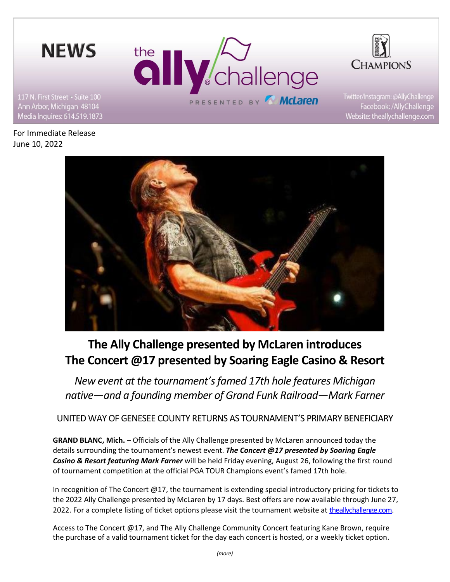



Website: theallychallenge.com

Ann Arbor, Michigan 48104 Media Inquires: 614.519.1873

For Immediate Release June 10, 2022



# **The Ally Challenge presented by McLaren introduces The Concert @17 presented by Soaring Eagle Casino & Resort**

*New event at the tournament's famed 17th hole features Michigan native—and a founding member of Grand Funk Railroad—Mark Farner*

UNITED WAY OF GENESEE COUNTY RETURNS AS TOURNAMENT'S PRIMARY BENEFICIARY

**GRAND BLANC, Mich.** – Officials of the Ally Challenge presented by McLaren announced today the details surrounding the tournament's newest event. *The Concert @17 presented by Soaring Eagle Casino & Resort featuring Mark Farner* will be held Friday evening, August 26, following the first round of tournament competition at the official PGA TOUR Champions event's famed 17th hole.

In recognition of The Concert @17, the tournament is extending special introductory pricing for tickets to the 2022 Ally Challenge presented by McLaren by 17 days. Best offers are now available through June 27, 2022. For a complete listing of ticket options please visit the tournament website at [theallychallenge.com.](http://www.theallychallenge.com/)

Access to The Concert @17, and The Ally Challenge Community Concert featuring Kane Brown, require the purchase of a valid tournament ticket for the day each concert is hosted, or a weekly ticket option.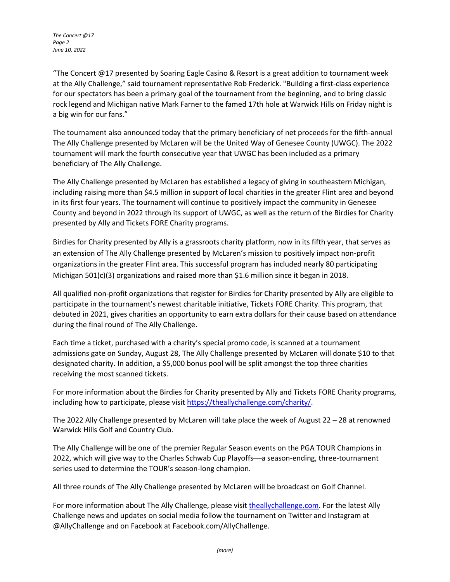*The Concert @17 Page 2 June 10, 2022*

"The Concert @17 presented by Soaring Eagle Casino & Resort is a great addition to tournament week at the Ally Challenge," said tournament representative Rob Frederick. "Building a first-class experience for our spectators has been a primary goal of the tournament from the beginning, and to bring classic rock legend and Michigan native Mark Farner to the famed 17th hole at Warwick Hills on Friday night is a big win for our fans."

The tournament also announced today that the primary beneficiary of net proceeds for the fifth-annual The Ally Challenge presented by McLaren will be the United Way of Genesee County (UWGC). The 2022 tournament will mark the fourth consecutive year that UWGC has been included as a primary beneficiary of The Ally Challenge.

The Ally Challenge presented by McLaren has established a legacy of giving in southeastern Michigan, including raising more than \$4.5 million in support of local charities in the greater Flint area and beyond in its first four years. The tournament will continue to positively impact the community in Genesee County and beyond in 2022 through its support of UWGC, as well as the return of the Birdies for Charity presented by Ally and Tickets FORE Charity programs.

Birdies for Charity presented by Ally is a grassroots charity platform, now in its fifth year, that serves as an extension of The Ally Challenge presented by McLaren's mission to positively impact non-profit organizations in the greater Flint area. This successful program has included nearly 80 participating Michigan 501(c)(3) organizations and raised more than \$1.6 million since it began in 2018.

All qualified non-profit organizations that register for Birdies for Charity presented by Ally are eligible to participate in the tournament's newest charitable initiative, Tickets FORE Charity. This program, that debuted in 2021, gives charities an opportunity to earn extra dollars for their cause based on attendance during the final round of The Ally Challenge.

Each time a ticket, purchased with a charity's special promo code, is scanned at a tournament admissions gate on Sunday, August 28, The Ally Challenge presented by McLaren will donate \$10 to that designated charity. In addition, a \$5,000 bonus pool will be split amongst the top three charities receiving the most scanned tickets.

For more information about the Birdies for Charity presented by Ally and Tickets FORE Charity programs, including how to participate, please visit [https://theallychallenge.com/charity/.](https://theallychallenge.com/charity/)

The 2022 Ally Challenge presented by McLaren will take place the week of August 22 – 28 at renowned Warwick Hills Golf and Country Club.

The Ally Challenge will be one of the premier Regular Season events on the PGA TOUR Champions in 2022, which will give way to the Charles Schwab Cup Playoffs—a season-ending, three-tournament series used to determine the TOUR's season-long champion.

All three rounds of The Ally Challenge presented by McLaren will be broadcast on Golf Channel.

For more information about The Ally Challenge, please visit [theallychallenge.com.](http://www.theallychallenge.com/) For the latest Ally Challenge news and updates on social media follow the tournament on Twitter and Instagram at @AllyChallenge and on Facebook at Facebook.com/AllyChallenge.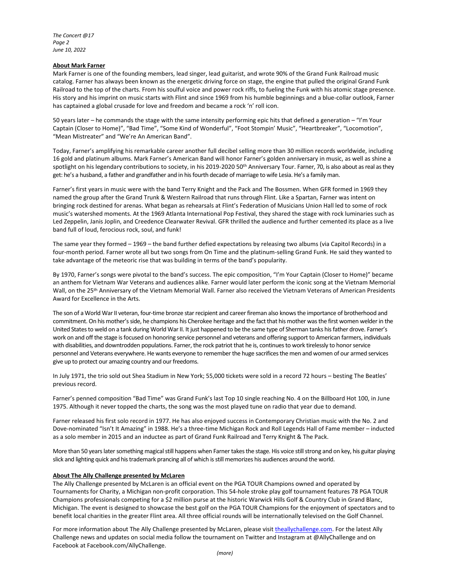## **About Mark Farner**

Mark Farner is one of the founding members, lead singer, lead guitarist, and wrote 90% of the Grand Funk Railroad music catalog. Farner has always been known as the energetic driving force on stage, the engine that pulled the original Grand Funk Railroad to the top of the charts. From his soulful voice and power rock riffs, to fueling the Funk with his atomic stage presence. His story and his imprint on music starts with Flint and since 1969 from his humble beginnings and a blue-collar outlook, Farner has captained a global crusade for love and freedom and became a rock 'n' roll icon.

50 years later – he commands the stage with the same intensity performing epic hits that defined a generation – "I'm Your Captain (Closer to Home)", "Bad Time", "Some Kind of Wonderful", "Foot Stompin' Music", "Heartbreaker", "Locomotion", "Mean Mistreater" and "We're An American Band".

Today, Farner's amplifying his remarkable career another full decibel selling more than 30 million records worldwide, including 16 gold and platinum albums. Mark Farner's American Band will honor Farner's golden anniversary in music, as well as shine a spotlight on his legendary contributions to society, in his 2019-2020 50<sup>th</sup> Anniversary Tour. Farner, 70, is also about as real as they get: he's a husband, a father and grandfather and in his fourth decade of marriage to wife Lesia. He's a family man.

Farner's first years in music were with the band Terry Knight and the Pack and The Bossmen. When GFR formed in 1969 they named the group after the Grand Trunk & Western Railroad that runs through Flint. Like a Spartan, Farner was intent on bringing rock destined for arenas. What began as rehearsals at Flint's Federation of Musicians Union Hall led to some of rock music's watershed moments. At the 1969 Atlanta International Pop Festival, they shared the stage with rock luminaries such as Led Zeppelin, Janis Joplin, and Creedence Clearwater Revival. GFR thrilled the audience and further cemented its place as a live band full of loud, ferocious rock, soul, and funk!

The same year they formed – 1969 – the band further defied expectations by releasing two albums (via Capitol Records) in a four-month period. Farner wrote all but two songs from On Time and the platinum-selling Grand Funk. He said they wanted to take advantage of the meteoric rise that was building in terms of the band's popularity.

By 1970, Farner's songs were pivotal to the band's success. The epic composition, "I'm Your Captain (Closer to Home)" became an anthem for Vietnam War Veterans and audiences alike. Farner would later perform the iconic song at the Vietnam Memorial Wall, on the 25<sup>th</sup> Anniversary of the Vietnam Memorial Wall. Farner also received the Vietnam Veterans of American Presidents Award for Excellence in the Arts.

The son of a World War II veteran, four-time bronze star recipient and career fireman also knows the importance of brotherhood and commitment. On his mother's side, he champions his Cherokee heritage and the fact that his mother was the first women welder in the United States to weld on a tank during World War II. It just happened to be the same type of Sherman tanks his father drove. Farner's work on and off the stage is focused on honoring service personnel and veterans and offering support to American farmers, individuals with disabilities, and downtrodden populations. Farner, the rock patriot that he is, continues to work tirelessly to honor service personnel and Veterans everywhere. He wants everyone to remember the huge sacrifices the men and women of our armed services give up to protect our amazing country and our freedoms.

In July 1971, the trio sold out Shea Stadium in New York; 55,000 tickets were sold in a record 72 hours – besting The Beatles' previous record.

Farner's penned composition "Bad Time" was Grand Funk's last Top 10 single reaching No. 4 on the Billboard Hot 100, in June 1975. Although it never topped the charts, the song was the most played tune on radio that year due to demand.

Farner released his first solo record in 1977. He has also enjoyed success in Contemporary Christian music with the No. 2 and Dove-nominated "Isn't It Amazing" in 1988. He's a three-time Michigan Rock and Roll Legends Hall of Fame member – inducted as a solo member in 2015 and an inductee as part of Grand Funk Railroad and Terry Knight & The Pack.

More than 50 years later something magical still happens when Farner takes the stage. His voice still strong and on key, his guitar playing slick and lighting quick and his trademark prancing all of which is still memorizes his audiences around the world.

## **About The Ally Challenge presented by McLaren**

The Ally Challenge presented by McLaren is an official event on the PGA TOUR Champions owned and operated by Tournaments for Charity, a Michigan non-profit corporation. This 54-hole stroke play golf tournament features 78 PGA TOUR Champions professionals competing for a \$2 million purse at the historic Warwick Hills Golf & Country Club in Grand Blanc, Michigan. The event is designed to showcase the best golf on the PGA TOUR Champions for the enjoyment of spectators and to benefit local charities in the greater Flint area. All three official rounds will be internationally televised on the Golf Channel.

For more information about The Ally Challenge presented by McLaren, please visi[t theallychallenge.com.](http://www.theallychallenge.com/) For the latest Ally Challenge news and updates on social media follow the tournament on Twitter and Instagram at @AllyChallenge and on Facebook at Facebook.com/AllyChallenge.